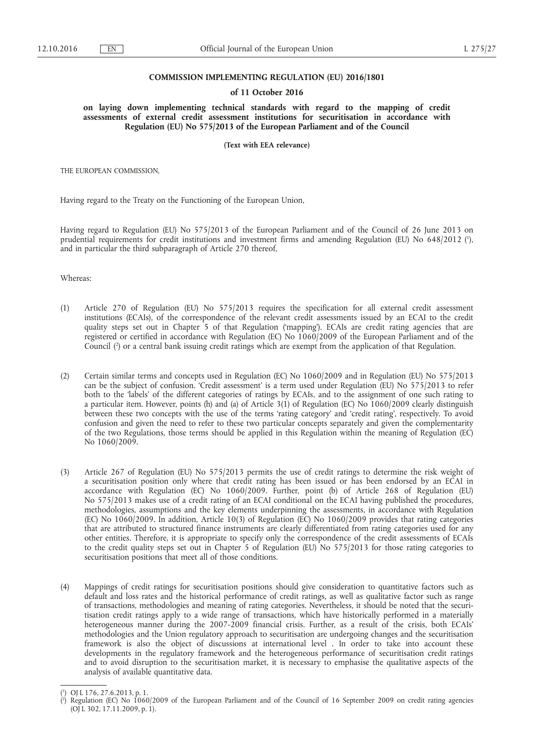#### **COMMISSION IMPLEMENTING REGULATION (EU) 2016/1801**

#### **of 11 October 2016**

**on laying down implementing technical standards with regard to the mapping of credit assessments of external credit assessment institutions for securitisation in accordance with Regulation (EU) No 575/2013 of the European Parliament and of the Council** 

**(Text with EEA relevance)** 

THE EUROPEAN COMMISSION,

Having regard to the Treaty on the Functioning of the European Union,

Having regard to Regulation (EU) No 575/2013 of the European Parliament and of the Council of 26 June 2013 on prudential requirements for credit institutions and investment firms and amending Regulation (EU) No 648/2012 ( 1 ), and in particular the third subparagraph of Article 270 thereof,

Whereas:

- (1) Article 270 of Regulation (EU) No 575/2013 requires the specification for all external credit assessment institutions (ECAIs), of the correspondence of the relevant credit assessments issued by an ECAI to the credit quality steps set out in Chapter 5 of that Regulation ('mapping'). ECAIs are credit rating agencies that are registered or certified in accordance with Regulation (EC) No 1060/2009 of the European Parliament and of the Council ( 2 ) or a central bank issuing credit ratings which are exempt from the application of that Regulation.
- (2) Certain similar terms and concepts used in Regulation (EC) No 1060/2009 and in Regulation (EU) No 575/2013 can be the subject of confusion. 'Credit assessment' is a term used under Regulation (EU) No 575/2013 to refer both to the 'labels' of the different categories of ratings by ECAIs, and to the assignment of one such rating to a particular item. However, points (h) and (a) of Article 3(1) of Regulation (EC) No 1060/2009 clearly distinguish between these two concepts with the use of the terms 'rating category' and 'credit rating', respectively. To avoid confusion and given the need to refer to these two particular concepts separately and given the complementarity of the two Regulations, those terms should be applied in this Regulation within the meaning of Regulation (EC) No 1060/2009.
- (3) Article 267 of Regulation (EU) No 575/2013 permits the use of credit ratings to determine the risk weight of a securitisation position only where that credit rating has been issued or has been endorsed by an ECAI in accordance with Regulation (EC) No 1060/2009. Further, point (b) of Article 268 of Regulation (EU) No 575/2013 makes use of a credit rating of an ECAI conditional on the ECAI having published the procedures, methodologies, assumptions and the key elements underpinning the assessments, in accordance with Regulation (EC) No 1060/2009. In addition, Article 10(3) of Regulation (EC) No 1060/2009 provides that rating categories that are attributed to structured finance instruments are clearly differentiated from rating categories used for any other entities. Therefore, it is appropriate to specify only the correspondence of the credit assessments of ECAIs to the credit quality steps set out in Chapter 5 of Regulation (EU) No 575/2013 for those rating categories to securitisation positions that meet all of those conditions.
- (4) Mappings of credit ratings for securitisation positions should give consideration to quantitative factors such as default and loss rates and the historical performance of credit ratings, as well as qualitative factor such as range of transactions, methodologies and meaning of rating categories. Nevertheless, it should be noted that the securitisation credit ratings apply to a wide range of transactions, which have historically performed in a materially heterogeneous manner during the 2007-2009 financial crisis. Further, as a result of the crisis, both ECAIs' methodologies and the Union regulatory approach to securitisation are undergoing changes and the securitisation framework is also the object of discussions at international level . In order to take into account these developments in the regulatory framework and the heterogeneous performance of securitisation credit ratings and to avoid disruption to the securitisation market, it is necessary to emphasise the qualitative aspects of the analysis of available quantitative data.

<sup>(</sup> 1 ) OJ L 176, 27.6.2013, p. 1.

<sup>(</sup> 2 ) Regulation (EC) No 1060/2009 of the European Parliament and of the Council of 16 September 2009 on credit rating agencies (OJ L 302, 17.11.2009, p. 1).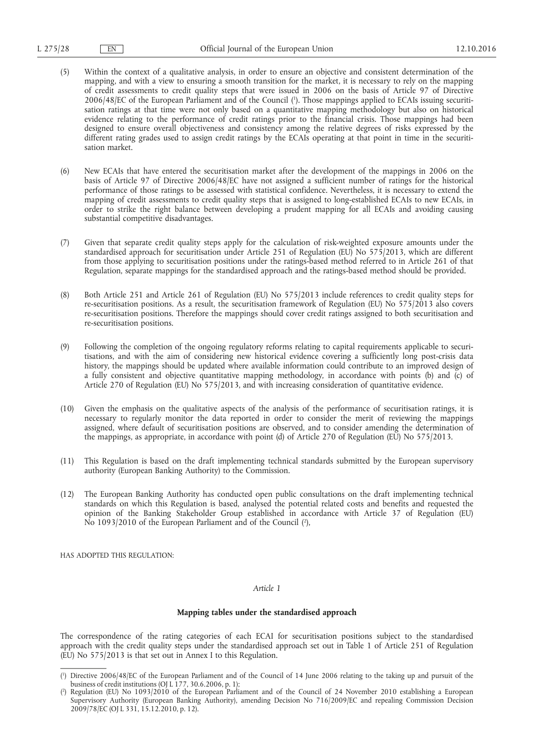- (5) Within the context of a qualitative analysis, in order to ensure an objective and consistent determination of the mapping, and with a view to ensuring a smooth transition for the market, it is necessary to rely on the mapping of credit assessments to credit quality steps that were issued in 2006 on the basis of Article 97 of Directive 2006/48/EC of the European Parliament and of the Council ( 1 ). Those mappings applied to ECAIs issuing securitisation ratings at that time were not only based on a quantitative mapping methodology but also on historical evidence relating to the performance of credit ratings prior to the financial crisis. Those mappings had been designed to ensure overall objectiveness and consistency among the relative degrees of risks expressed by the different rating grades used to assign credit ratings by the ECAIs operating at that point in time in the securitisation market.
- (6) New ECAIs that have entered the securitisation market after the development of the mappings in 2006 on the basis of Article 97 of Directive 2006/48/EC have not assigned a sufficient number of ratings for the historical performance of those ratings to be assessed with statistical confidence. Nevertheless, it is necessary to extend the mapping of credit assessments to credit quality steps that is assigned to long-established ECAIs to new ECAIs, in order to strike the right balance between developing a prudent mapping for all ECAIs and avoiding causing substantial competitive disadvantages.
- (7) Given that separate credit quality steps apply for the calculation of risk-weighted exposure amounts under the standardised approach for securitisation under Article 251 of Regulation (EU) No 575/2013, which are different from those applying to securitisation positions under the ratings-based method referred to in Article 261 of that Regulation, separate mappings for the standardised approach and the ratings-based method should be provided.
- (8) Both Article 251 and Article 261 of Regulation (EU) No 575/2013 include references to credit quality steps for re-securitisation positions. As a result, the securitisation framework of Regulation (EU) No 575/2013 also covers re-securitisation positions. Therefore the mappings should cover credit ratings assigned to both securitisation and re-securitisation positions.
- (9) Following the completion of the ongoing regulatory reforms relating to capital requirements applicable to securitisations, and with the aim of considering new historical evidence covering a sufficiently long post-crisis data history, the mappings should be updated where available information could contribute to an improved design of a fully consistent and objective quantitative mapping methodology, in accordance with points (b) and (c) of Article 270 of Regulation (EU) No 575/2013, and with increasing consideration of quantitative evidence.
- (10) Given the emphasis on the qualitative aspects of the analysis of the performance of securitisation ratings, it is necessary to regularly monitor the data reported in order to consider the merit of reviewing the mappings assigned, where default of securitisation positions are observed, and to consider amending the determination of the mappings, as appropriate, in accordance with point (d) of Article 270 of Regulation (EU) No 575/2013.
- (11) This Regulation is based on the draft implementing technical standards submitted by the European supervisory authority (European Banking Authority) to the Commission.
- (12) The European Banking Authority has conducted open public consultations on the draft implementing technical standards on which this Regulation is based, analysed the potential related costs and benefits and requested the opinion of the Banking Stakeholder Group established in accordance with Article 37 of Regulation (EU) No 1093/2010 of the European Parliament and of the Council ( 2 ),

HAS ADOPTED THIS REGULATION:

### *Article 1*

# **Mapping tables under the standardised approach**

The correspondence of the rating categories of each ECAI for securitisation positions subject to the standardised approach with the credit quality steps under the standardised approach set out in Table 1 of Article 251 of Regulation (EU) No 575/2013 is that set out in Annex I to this Regulation.

<sup>(</sup> 1 ) Directive 2006/48/EC of the European Parliament and of the Council of 14 June 2006 relating to the taking up and pursuit of the business of credit institutions (OJ L 177, 30.6.2006, p. 1);

<sup>(</sup> 2 ) Regulation (EU) No 1093/2010 of the European Parliament and of the Council of 24 November 2010 establishing a European Supervisory Authority (European Banking Authority), amending Decision No 716/2009/EC and repealing Commission Decision 2009/78/EC (OJ L 331, 15.12.2010, p. 12).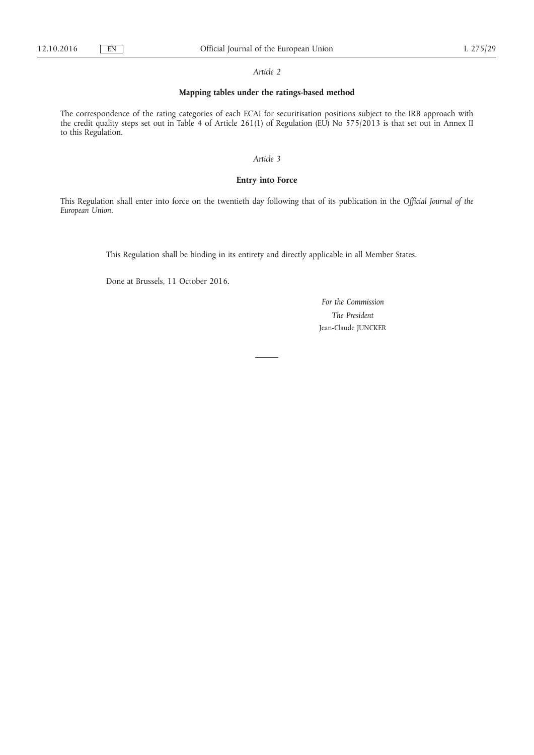#### *Article 2*

# **Mapping tables under the ratings-based method**

The correspondence of the rating categories of each ECAI for securitisation positions subject to the IRB approach with the credit quality steps set out in Table 4 of Article 261(1) of Regulation (EU) No 575/2013 is that set out in Annex II to this Regulation.

### *Article 3*

### **Entry into Force**

This Regulation shall enter into force on the twentieth day following that of its publication in the *Official Journal of the European Union*.

This Regulation shall be binding in its entirety and directly applicable in all Member States.

Done at Brussels, 11 October 2016.

*For the Commission The President*  Jean-Claude JUNCKER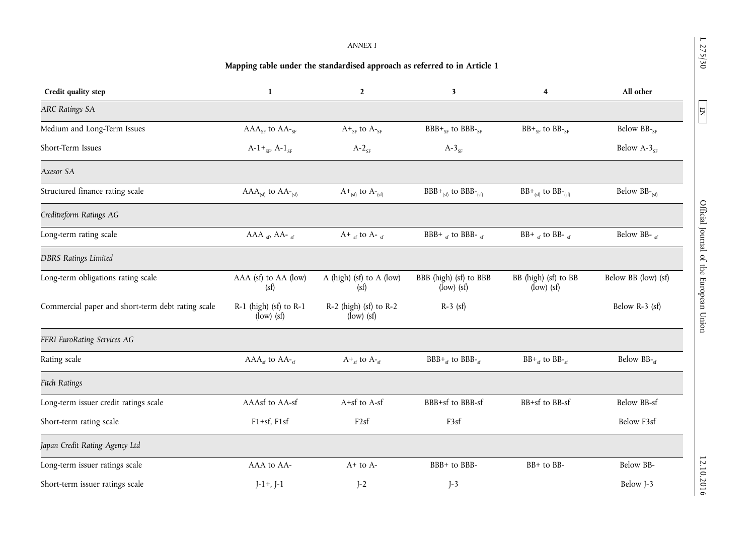# *ANNEX I*

# **Mapping table under the standardised approach as referred to in Article 1**

| Credit quality step                               | 1                                          | $\overline{2}$                         | $\mathbf{3}$                                                             | 4                                    | All other              |
|---------------------------------------------------|--------------------------------------------|----------------------------------------|--------------------------------------------------------------------------|--------------------------------------|------------------------|
| <b>ARC Ratings SA</b>                             |                                            |                                        |                                                                          |                                      |                        |
| Medium and Long-Term Issues                       | $AAA_{SF}$ to $AA_{SF}$                    | $A+_{SF}$ to $A-_{SF}$                 | $BBB+_{SF}$ to $BBB-_{SF}$                                               | $BB+_{SF}$ to $BB-_{SF}$             | Below BB-SF            |
| Short-Term Issues                                 | $A-1+_{SF}A-1_{SF}$                        | $A-2_{SF}$                             | $A-3_{SF}$                                                               |                                      | Below $A-3_{SF}$       |
| Axesor SA                                         |                                            |                                        |                                                                          |                                      |                        |
| Structured finance rating scale                   | $AAA_{(sf)}$ to $AA_{(sf)}$                | $A_{(sf)}$ to $A_{(sf)}$               | $BBB+_{(sf)}$ to $BBB-_{(sf)}$                                           | $BB+_{(sf)}$ to $BB-_{(sf)}$         | Below $BB$ - $_{(sf)}$ |
| Creditreform Ratings AG                           |                                            |                                        |                                                                          |                                      |                        |
| Long-term rating scale                            | $AAA_{sf}$ AA- sf                          | $A^+$ sf to $A^-$ sf                   | BBB+ $_{sf}$ to BBB- $_{sf}$                                             | BB+ $_{sf}$ to BB- $_{sf}$           | Below BB- sf           |
| <b>DBRS Ratings Limited</b>                       |                                            |                                        |                                                                          |                                      |                        |
| Long-term obligations rating scale                | AAA (sf) to AA (low)<br>(sf)               | A (high) (sf) to A (low)<br>(sf)       | BBB (high) (sf) to BBB<br>$\langle$ low $\rangle$ $\langle$ sf $\rangle$ | BB (high) (sf) to BB<br>$(low)$ (sf) | Below BB (low) (sf)    |
| Commercial paper and short-term debt rating scale | $R-1$ (high) (sf) to $R-1$<br>$(low)$ (sf) | R-2 (high) (sf) to R-2<br>$(low)$ (sf) | $R-3$ (sf)                                                               |                                      | Below $R-3$ (sf)       |
| FERI EuroRating Services AG                       |                                            |                                        |                                                                          |                                      |                        |
| Rating scale                                      | $AAA_{sf}$ to $AA_{sf}$                    | $A_{\text{sf}}$ to $A_{\text{sf}}$     | $BBB+_{sf}$ to $BBB-_{sf}$                                               | $BB+_{sf}$ to $BB-_{sf}$             | Below BB-cf            |
| <b>Fitch Ratings</b>                              |                                            |                                        |                                                                          |                                      |                        |
| Long-term issuer credit ratings scale             | AAAsf to AA-sf                             | A+sf to A-sf                           | BBB+sf to BBB-sf                                                         | BB+sf to BB-sf                       | <b>Below BB-sf</b>     |
| Short-term rating scale                           | $F1+sf$ , $F1sf$                           | F <sub>2sf</sub>                       | F3sf                                                                     |                                      | Below F3sf             |
| Japan Credit Rating Agency Ltd                    |                                            |                                        |                                                                          |                                      |                        |
| Long-term issuer ratings scale                    | AAA to AA-                                 | $A+$ to $A-$                           | BBB+ to BBB-                                                             | BB+ to BB-                           | Below BB-              |
| Short-term issuer ratings scale                   | $J-1+$ , $J-1$                             | $J-2$                                  | $J-3$                                                                    |                                      | Below J-3              |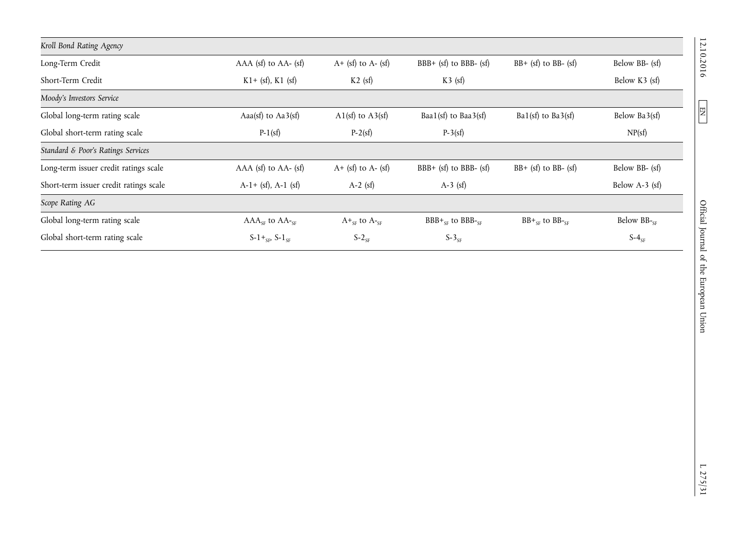| Kroll Bond Rating Agency               |                          |                          |                            |                           |                   |
|----------------------------------------|--------------------------|--------------------------|----------------------------|---------------------------|-------------------|
| Long-Term Credit                       | $AAA$ (sf) to $AA-$ (sf) | $A+$ (sf) to $A-$ (sf)   | BBB+ $(sf)$ to BBB- $(sf)$ | $BB + (sf)$ to BB- $(st)$ | Below BB- (sf)    |
| Short-Term Credit                      | $K1 + (sf)$ , $K1$ (sf)  | $K2$ (sf)                | $K3$ (sf)                  |                           | Below K3 (sf)     |
| Moody's Investors Service              |                          |                          |                            |                           |                   |
| Global long-term rating scale          | Aaa(sf) to $Aa3(sf)$     | A1(sf) to $A3(sf)$       | Baa1(sf) to Baa3(sf)       | Ba1(sf) to Ba3(sf)        | Below Ba3(sf)     |
| Global short-term rating scale         | $P-1(sf)$                | $P-2(sf)$                | $P-3(sf)$                  |                           | NP(sf)            |
| Standard & Poor's Ratings Services     |                          |                          |                            |                           |                   |
| Long-term issuer credit ratings scale  | $AAA$ (sf) to $AA-$ (sf) | $A + (sf)$ to $A - (sf)$ | BBB+ $(sf)$ to BBB- $(sf)$ | $BB + (sf)$ to BB- $(st)$ | Below BB- (sf)    |
| Short-term issuer credit ratings scale | $A-1+$ (sf), $A-1$ (sf)  | $A-2$ (sf)               | $A-3$ (sf)                 |                           | Below $A-3$ (sf)  |
| Scope Rating AG                        |                          |                          |                            |                           |                   |
| Global long-term rating scale          | $AAA_{SF}$ to $AA_{SF}$  | $A+_{SF}$ to $A-_{SF}$   | $BBB+_{SF}$ to $BBB-_{SF}$ | $BB+_{SF}$ to $BB-_{SF}$  | Below $BB -_{SF}$ |
| Global short-term rating scale         | $S-1+_{SF} S-1_{SF}$     | $S-2_{SF}$               | $S-3_{SF}$                 |                           | $S-4_{SF}$        |

 $\boxed{\text{EN}}$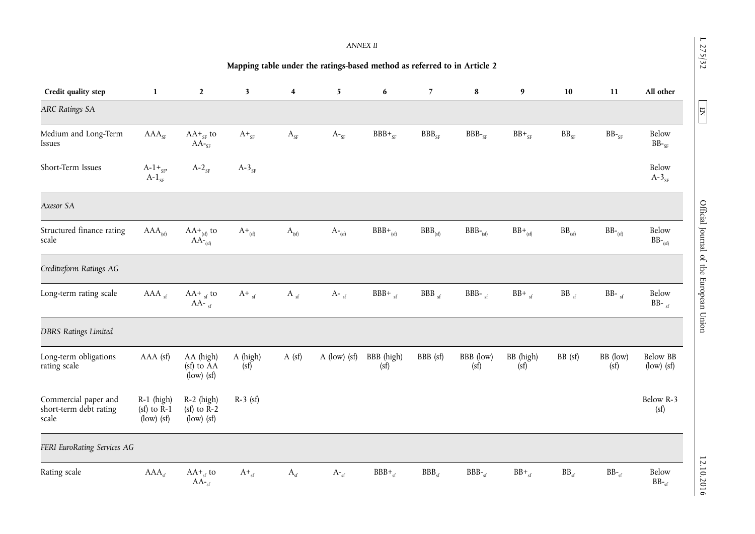|                                                                          |                                                                                                      |                                                                      |                         |                         |                                    | <b>ANNEX II</b>    |                |                   |                   |               |                  |                                                                    |
|--------------------------------------------------------------------------|------------------------------------------------------------------------------------------------------|----------------------------------------------------------------------|-------------------------|-------------------------|------------------------------------|--------------------|----------------|-------------------|-------------------|---------------|------------------|--------------------------------------------------------------------|
| Mapping table under the ratings-based method as referred to in Article 2 |                                                                                                      |                                                                      |                         |                         |                                    |                    |                |                   |                   |               |                  |                                                                    |
| Credit quality step                                                      | $\mathbf{1}$                                                                                         | $\overline{2}$                                                       | $\overline{\mathbf{3}}$ | $\overline{\mathbf{4}}$ | 5                                  | 6                  | $7^{\circ}$    | 8                 | 9                 | 10            | 11               | All other                                                          |
| <b>ARC Ratings SA</b>                                                    |                                                                                                      |                                                                      |                         |                         |                                    |                    |                |                   |                   |               |                  |                                                                    |
| Medium and Long-Term<br>Issues                                           | $AAA_{SF}$                                                                                           | $AA+_{SF}$ to<br>$AA$ - <sub>SF</sub>                                | $A+_{SF}$               | $\rm A_{\rm SF}$        | $\mathrm{A}_{\text{{}^{\circ}SF}}$ | $BBB+_{SF}$        | $BBB_{SF}$     | $BBB -SF$         | $BB+_{SF}$        | $BB_{SF}$     | $BB -_{SF}$      | Below<br>$BB -_{SF}$                                               |
| Short-Term Issues                                                        | $A-1+_{SP}$<br>$A-1$ <sub>SF</sub>                                                                   | $A-2_{SF}$                                                           | $A-3$ <sub>SF</sub>     |                         |                                    |                    |                |                   |                   |               |                  | Below<br>$A-3$ <sub>SF</sub>                                       |
| Axesor SA                                                                |                                                                                                      |                                                                      |                         |                         |                                    |                    |                |                   |                   |               |                  |                                                                    |
| Structured finance rating<br>scale                                       | $AAA_{(sf)}$                                                                                         | $AA+_{(sf)}$ to<br>$AA$ <sup>-</sup> (sf)                            | $A_{\text{sf}}$         | $A_{(sf)}$              | $\mathrm{A}_{\text{``(sf)}}$       | $BBB+_{(sf)}$      | $BBB_{(sf)}$   | $BBB_{(sf)}$      | $BB+_{(sf)}$      | $BB_{(sf)}$   | $BB -_{(sf)}$    | Below<br>$BB -_{(sf)}$                                             |
| Creditreform Ratings AG                                                  |                                                                                                      |                                                                      |                         |                         |                                    |                    |                |                   |                   |               |                  |                                                                    |
| Long-term rating scale                                                   | AAA <sub>sf</sub>                                                                                    | $AA+$ <sub>sf</sub> to<br>AA- $_{\rm sf}$                            | $A_{\text{f}}$          | A $_{\rm sf}$           | A- $_{\rm sf}$                     | $BBB+_{sf}$        | $BBB_{sf}$     | BBB- $_{sf}$      | $BB+_{sf}$        | $BB_{sf}$     | $BB-$ sf         | Below<br>BB- $_{\rm sf}$                                           |
| <b>DBRS Ratings Limited</b>                                              |                                                                                                      |                                                                      |                         |                         |                                    |                    |                |                   |                   |               |                  |                                                                    |
| Long-term obligations<br>rating scale                                    | AAA (sf)                                                                                             | AA (high)<br>(sf) to AA<br>$\langle \text{low} \rangle$ (sf)         | A (high)<br>(sf)        | $A$ (sf)                | $A$ (low) (sf)                     | BBB (high)<br>(sf) | BBB (sf)       | BBB (low)<br>(sf) | BB (high)<br>(sf) | BB (sf)       | BB (low)<br>(sf) | <b>Below BB</b><br>$\left(\text{low}\right)\left(\text{sf}\right)$ |
| Commercial paper and<br>short-term debt rating<br>scale                  | $R-1$ (high)<br>$(sf)$ to $\overline{R-1}$<br>$\langle \text{low} \rangle \langle \text{sf} \rangle$ | $R-2$ (high)<br>$(sf)$ to $R-2$<br>$\langle \text{low} \rangle$ (sf) | $R-3$ (sf)              |                         |                                    |                    |                |                   |                   |               |                  | Below R-3<br>(sf)                                                  |
| FERI EuroRating Services AG                                              |                                                                                                      |                                                                      |                         |                         |                                    |                    |                |                   |                   |               |                  |                                                                    |
| Rating scale                                                             | $AAA_{sf}$                                                                                           | $AA+_{sf}$ to<br>$AA_{\text{sf}}$                                    | $A_{\text{sf}}$         | $A_{sf}$                | $A_{\tau_{sf}}$                    | $BBB+_{sf}$        | $BBB_{\rm cf}$ | $BBB -sf$         | $BB+_{sf}$        | $BB_{\rm sf}$ | $BB -_{cf}$      | Below<br>$\rm BB$ - $_{\rm sf}$                                    |